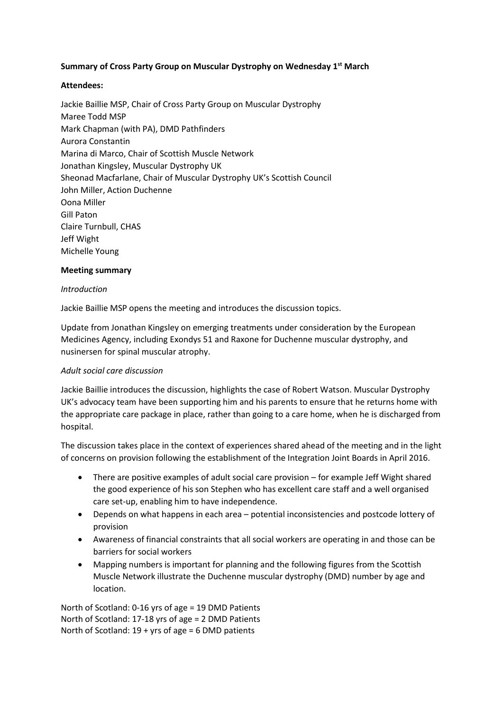## **Summary of Cross Party Group on Muscular Dystrophy on Wednesday 1st March**

### **Attendees:**

Jackie Baillie MSP, Chair of Cross Party Group on Muscular Dystrophy Maree Todd MSP Mark Chapman (with PA), DMD Pathfinders Aurora Constantin Marina di Marco, Chair of Scottish Muscle Network Jonathan Kingsley, Muscular Dystrophy UK Sheonad Macfarlane, Chair of Muscular Dystrophy UK's Scottish Council John Miller, Action Duchenne Oona Miller Gill Paton Claire Turnbull, CHAS Jeff Wight Michelle Young

### **Meeting summary**

## *Introduction*

Jackie Baillie MSP opens the meeting and introduces the discussion topics.

Update from Jonathan Kingsley on emerging treatments under consideration by the European Medicines Agency, including Exondys 51 and Raxone for Duchenne muscular dystrophy, and nusinersen for spinal muscular atrophy.

### *Adult social care discussion*

Jackie Baillie introduces the discussion, highlights the case of Robert Watson. Muscular Dystrophy UK's advocacy team have been supporting him and his parents to ensure that he returns home with the appropriate care package in place, rather than going to a care home, when he is discharged from hospital.

The discussion takes place in the context of experiences shared ahead of the meeting and in the light of concerns on provision following the establishment of the Integration Joint Boards in April 2016.

- There are positive examples of adult social care provision for example Jeff Wight shared the good experience of his son Stephen who has excellent care staff and a well organised care set-up, enabling him to have independence.
- Depends on what happens in each area potential inconsistencies and postcode lottery of provision
- Awareness of financial constraints that all social workers are operating in and those can be barriers for social workers
- Mapping numbers is important for planning and the following figures from the Scottish Muscle Network illustrate the Duchenne muscular dystrophy (DMD) number by age and location.

North of Scotland: 0-16 yrs of age = 19 DMD Patients North of Scotland: 17-18 yrs of age = 2 DMD Patients North of Scotland: 19 + yrs of age = 6 DMD patients